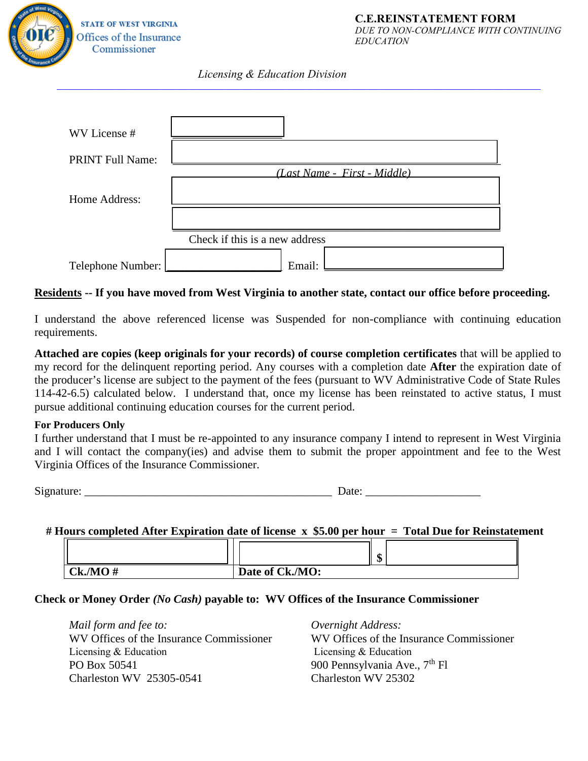

## *Licensing & Education Division \_\_\_\_\_\_\_\_\_\_\_\_\_\_\_\_\_\_\_\_\_\_\_\_\_\_\_\_\_\_\_\_\_\_\_\_\_\_\_\_\_\_\_\_\_\_\_\_\_\_\_\_\_\_\_\_\_\_\_\_\_\_\_\_\_\_\_\_\_\_\_\_\_\_\_\_\_\_\_\_\_\_\_\_*

| WV License #            |                                |  |
|-------------------------|--------------------------------|--|
| <b>PRINT Full Name:</b> |                                |  |
|                         | (Last Name - First - Middle)   |  |
| Home Address:           |                                |  |
|                         |                                |  |
|                         | Check if this is a new address |  |
| Telephone Number:       | Email:                         |  |

## **Residents -- If you have moved from West Virginia to another state, contact our office before proceeding.**

I understand the above referenced license was Suspended for non-compliance with continuing education requirements.

**Attached are copies (keep originals for your records) of course completion certificates** that will be applied to my record for the delinquent reporting period. Any courses with a completion date **After** the expiration date of the producer's license are subject to the payment of the fees (pursuant to WV Administrative Code of State Rules 114-42-6.5) calculated below. I understand that, once my license has been reinstated to active status, I must pursue additional continuing education courses for the current period.

### **For Producers Only**

I further understand that I must be re-appointed to any insurance company I intend to represent in West Virginia and I will contact the company(ies) and advise them to submit the proper appointment and fee to the West Virginia Offices of the Insurance Commissioner.

Signature:  $\Box$ 

### **# Hours completed After Expiration date of license x \$5.00 per hour = Total Due for Reinstatement**

|        |                 | ₼<br>AD. |  |
|--------|-----------------|----------|--|
| Ck/MO# | Date of Ck./MO: |          |  |

### **Check or Money Order** *(No Cash)* **payable to: WV Offices of the Insurance Commissioner**

*Mail form and fee to: Overnight Address:* WV Offices of the Insurance Commissioner WV Offices of the Insurance Commissioner PO Box 50541 900 Pennsylvania Ave.,  $7<sup>th</sup>$  Fl Charleston WV 25305-0541 Charleston WV 25302 Licensing & Education Licensing & Education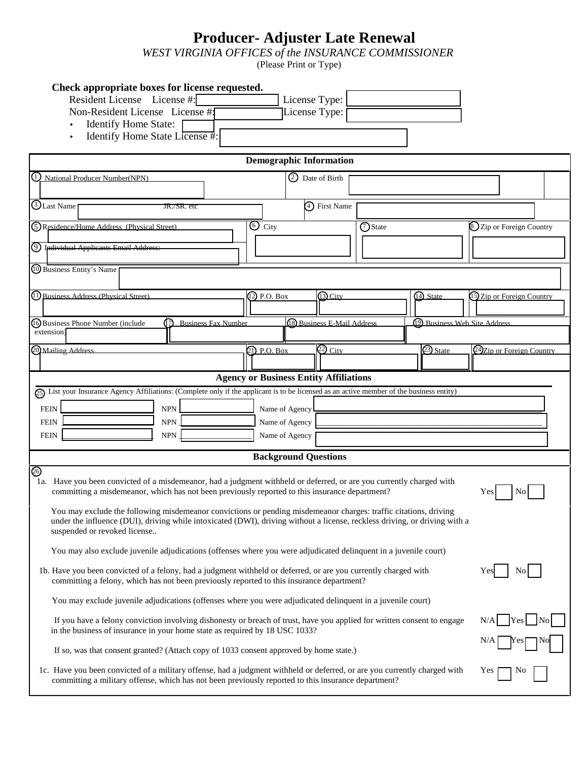## **Producer- Adjuster Late Renewal**

*WEST VIRGINIA OFFICES of the INSURANCE COMMISSIONER*

(Please Print or Type)

| Check appropriate boxes for license requested.                |                 |  |
|---------------------------------------------------------------|-----------------|--|
| Resident License License #:                                   | License Type:   |  |
| Non-Resident License License #                                | License Type: [ |  |
| <b>Identify Home State:</b><br>Identify Home State License #: |                 |  |

|                                                   |                                                                             | <b>Demographic Information</b>                                                                                                                                                                                                                 |  |
|---------------------------------------------------|-----------------------------------------------------------------------------|------------------------------------------------------------------------------------------------------------------------------------------------------------------------------------------------------------------------------------------------|--|
| 1) National Producer Number(NPN)                  |                                                                             | 2 Date of Birth                                                                                                                                                                                                                                |  |
| $\bigcirc$ Last Name                              | JR./SR. etc                                                                 | 4) First Name                                                                                                                                                                                                                                  |  |
|                                                   |                                                                             |                                                                                                                                                                                                                                                |  |
| <b>5</b> Residence/Home Address (Physical Street) |                                                                             | $\odot$ City<br><b>O</b> State<br>S Zip or Foreign Country                                                                                                                                                                                     |  |
| 9 Individual Applicants Email Address:            |                                                                             |                                                                                                                                                                                                                                                |  |
| 10 Business Entity's Name                         |                                                                             |                                                                                                                                                                                                                                                |  |
|                                                   |                                                                             |                                                                                                                                                                                                                                                |  |
| (1) Business Address (Physical Street)            |                                                                             | 13 City<br>14) State<br>(2) P.O. Box<br>15 Zip or Foreign Country                                                                                                                                                                              |  |
| <b>6</b> Business Phone Number (include           | 12 Business Fax Number                                                      | 18 Business E-Mail Address<br>(19) Business Web Site Address                                                                                                                                                                                   |  |
| extension)                                        |                                                                             |                                                                                                                                                                                                                                                |  |
| 20 Mailing Address                                |                                                                             | $\overline{22}$ City<br>23) State<br>21) P.O. Box<br>24Zip or Foreign Country                                                                                                                                                                  |  |
|                                                   |                                                                             |                                                                                                                                                                                                                                                |  |
|                                                   |                                                                             | <b>Agency or Business Entity Affiliations</b><br>25) List your Insurance Agency Affiliations: (Complete only if the applicant is to be licensed as an active member of the business entity)                                                    |  |
|                                                   |                                                                             |                                                                                                                                                                                                                                                |  |
| <b>FEIN</b><br><b>FEIN</b>                        | <b>NPN</b><br>${\sf NPN}$                                                   | Name of Agency<br>Name of Agency                                                                                                                                                                                                               |  |
| <b>FEIN</b>                                       | <b>NPN</b>                                                                  | Name of Agency                                                                                                                                                                                                                                 |  |
|                                                   |                                                                             |                                                                                                                                                                                                                                                |  |
| හ                                                 |                                                                             | <b>Background Questions</b>                                                                                                                                                                                                                    |  |
|                                                   |                                                                             | 1a. Have you been convicted of a misdemeanor, had a judgment withheld or deferred, or are you currently charged with                                                                                                                           |  |
|                                                   |                                                                             | committing a misdemeanor, which has not been previously reported to this insurance department?<br>No.<br><b>Yes</b>                                                                                                                            |  |
|                                                   |                                                                             | You may exclude the following misdemeanor convictions or pending misdemeanor charges: traffic citations, driving<br>under the influence (DUI), driving while intoxicated (DWI), driving without a license, reckless driving, or driving with a |  |
| suspended or revoked license                      |                                                                             |                                                                                                                                                                                                                                                |  |
|                                                   |                                                                             | You may also exclude juvenile adjudications (offenses where you were adjudicated delinquent in a juvenile court)                                                                                                                               |  |
|                                                   |                                                                             | 1b. Have you been convicted of a felony, had a judgment withheld or deferred, or are you currently charged with<br>No                                                                                                                          |  |
|                                                   |                                                                             | committing a felony, which has not been previously reported to this insurance department?                                                                                                                                                      |  |
|                                                   |                                                                             | You may exclude juvenile adjudications (offenses where you were adjudicated delinquent in a juvenile court)                                                                                                                                    |  |
|                                                   |                                                                             | If you have a felony conviction involving dishonesty or breach of trust, have you applied for written consent to engage                                                                                                                        |  |
|                                                   | in the business of insurance in your home state as required by 18 USC 1033? |                                                                                                                                                                                                                                                |  |
|                                                   |                                                                             | If so, was that consent granted? (Attach copy of 1033 consent approved by home state.)                                                                                                                                                         |  |
|                                                   |                                                                             | 1c. Have you been convicted of a military offense, had a judgment withheld or deferred, or are you currently charged with<br>Yes                                                                                                               |  |
|                                                   |                                                                             | committing a military offense, which has not been previously reported to this insurance department?                                                                                                                                            |  |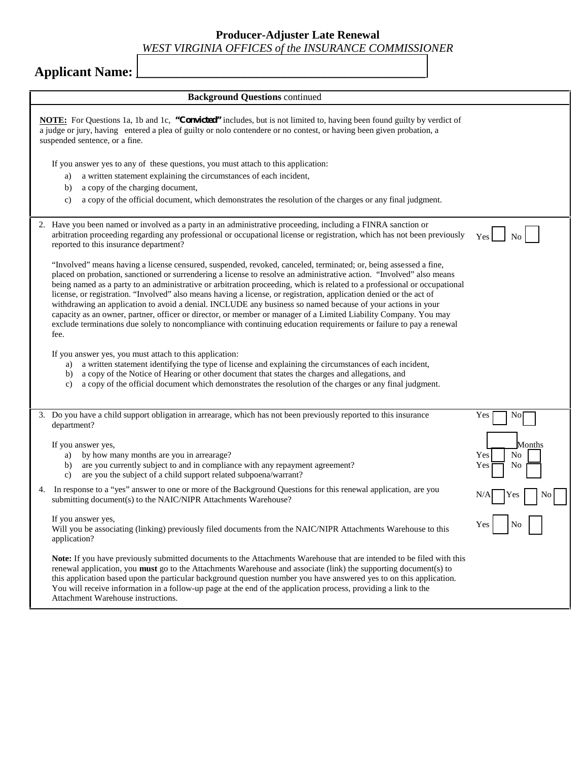**Producer-Adjuster Late Renewal**

### *WEST VIRGINIA OFFICES of the INSURANCE COMMISSIONER*

# **Applicant Name:**

|    | <b>Background Questions continued</b>                                                                                                                                                                                                                                                                                                                                                                                                                                                                                                                                                                                                                                                                                                                                                                                                                          |                                               |
|----|----------------------------------------------------------------------------------------------------------------------------------------------------------------------------------------------------------------------------------------------------------------------------------------------------------------------------------------------------------------------------------------------------------------------------------------------------------------------------------------------------------------------------------------------------------------------------------------------------------------------------------------------------------------------------------------------------------------------------------------------------------------------------------------------------------------------------------------------------------------|-----------------------------------------------|
|    | <b>NOTE:</b> For Questions 1a, 1b and 1c, "Convicted" includes, but is not limited to, having been found guilty by verdict of<br>a judge or jury, having entered a plea of guilty or nolo contendere or no contest, or having been given probation, a<br>suspended sentence, or a fine.                                                                                                                                                                                                                                                                                                                                                                                                                                                                                                                                                                        |                                               |
|    | If you answer yes to any of these questions, you must attach to this application:<br>a written statement explaining the circumstances of each incident,<br>a)<br>a copy of the charging document,<br>b)<br>a copy of the official document, which demonstrates the resolution of the charges or any final judgment.<br>c)                                                                                                                                                                                                                                                                                                                                                                                                                                                                                                                                      |                                               |
|    | 2. Have you been named or involved as a party in an administrative proceeding, including a FINRA sanction or<br>arbitration proceeding regarding any professional or occupational license or registration, which has not been previously<br>reported to this insurance department?                                                                                                                                                                                                                                                                                                                                                                                                                                                                                                                                                                             |                                               |
|    | "Involved" means having a license censured, suspended, revoked, canceled, terminated; or, being assessed a fine,<br>placed on probation, sanctioned or surrendering a license to resolve an administrative action. "Involved" also means<br>being named as a party to an administrative or arbitration proceeding, which is related to a professional or occupational<br>license, or registration. "Involved" also means having a license, or registration, application denied or the act of<br>withdrawing an application to avoid a denial. INCLUDE any business so named because of your actions in your<br>capacity as an owner, partner, officer or director, or member or manager of a Limited Liability Company. You may<br>exclude terminations due solely to noncompliance with continuing education requirements or failure to pay a renewal<br>fee. |                                               |
|    | If you answer yes, you must attach to this application:<br>a) a written statement identifying the type of license and explaining the circumstances of each incident,<br>a copy of the Notice of Hearing or other document that states the charges and allegations, and<br>b)<br>a copy of the official document which demonstrates the resolution of the charges or any final judgment.<br>c)                                                                                                                                                                                                                                                                                                                                                                                                                                                                  |                                               |
|    | 3. Do you have a child support obligation in arrearage, which has not been previously reported to this insurance<br>department?<br>If you answer yes,<br>by how many months are you in arrearage?<br>a)<br>are you currently subject to and in compliance with any repayment agreement?<br>b)<br>are you the subject of a child support related subpoena/warrant?<br>c)                                                                                                                                                                                                                                                                                                                                                                                                                                                                                        | Yes<br>No<br>Months<br>Yes<br>No<br>No<br>Yes |
| 4. | In response to a "yes" answer to one or more of the Background Questions for this renewal application, are you<br>submitting document(s) to the NAIC/NIPR Attachments Warehouse?                                                                                                                                                                                                                                                                                                                                                                                                                                                                                                                                                                                                                                                                               |                                               |
|    | If you answer yes,<br>Will you be associating (linking) previously filed documents from the NAIC/NIPR Attachments Warehouse to this<br>application?                                                                                                                                                                                                                                                                                                                                                                                                                                                                                                                                                                                                                                                                                                            |                                               |
|    | Note: If you have previously submitted documents to the Attachments Warehouse that are intended to be filed with this<br>renewal application, you must go to the Attachments Warehouse and associate (link) the supporting document(s) to<br>this application based upon the particular background question number you have answered yes to on this application.<br>You will receive information in a follow-up page at the end of the application process, providing a link to the<br>Attachment Warehouse instructions.                                                                                                                                                                                                                                                                                                                                      |                                               |